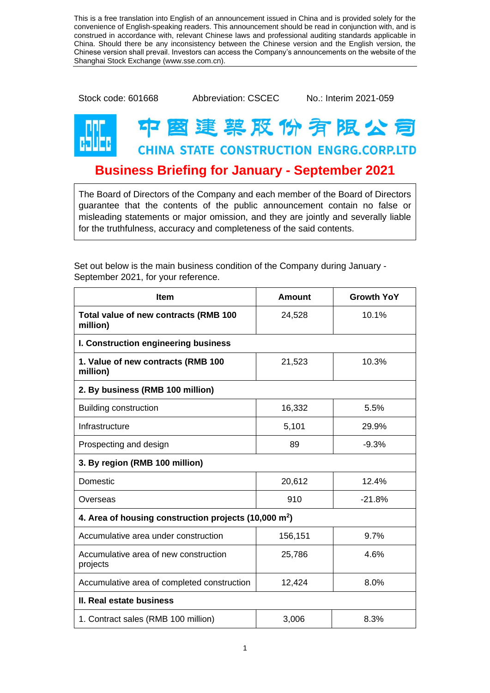This is a free translation into English of an announcement issued in China and is provided solely for the convenience of English-speaking readers. This announcement should be read in conjunction with, and is construed in accordance with, relevant Chinese laws and professional auditing standards applicable in China. Should there be any inconsistency between the Chinese version and the English version, the Chinese version shall prevail. Investors can access the Company's announcements on the website of the Shanghai Stock Exchange (www.sse.com.cn).

Stock code: 601668 Abbreviation: CSCEC No.: Interim 2021-059

## 图建築股份有限公司 **CHINA STATE CONSTRUCTION ENGRG.CORP.LTD**

## **Business Briefing for January - September 2021**

The Board of Directors of the Company and each member of the Board of Directors guarantee that the contents of the public announcement contain no false or misleading statements or major omission, and they are jointly and severally liable for the truthfulness, accuracy and completeness of the said contents.

| <b>Item</b>                                                     | <b>Amount</b> | <b>Growth YoY</b> |  |
|-----------------------------------------------------------------|---------------|-------------------|--|
| Total value of new contracts (RMB 100<br>million)               | 24,528        | 10.1%             |  |
| I. Construction engineering business                            |               |                   |  |
| 1. Value of new contracts (RMB 100<br>million)                  | 21,523        | 10.3%             |  |
| 2. By business (RMB 100 million)                                |               |                   |  |
| <b>Building construction</b>                                    | 16,332        | 5.5%              |  |
| Infrastructure                                                  | 5,101         | 29.9%             |  |
| Prospecting and design                                          | 89            | $-9.3%$           |  |
| 3. By region (RMB 100 million)                                  |               |                   |  |
| <b>Domestic</b>                                                 | 20,612        | 12.4%             |  |
| Overseas                                                        | 910           | $-21.8%$          |  |
| 4. Area of housing construction projects $(10,000 \text{ m}^2)$ |               |                   |  |
| Accumulative area under construction                            | 156,151       | 9.7%              |  |
| Accumulative area of new construction<br>projects               | 25,786        | 4.6%              |  |
| Accumulative area of completed construction                     | 12,424        | 8.0%              |  |
| II. Real estate business                                        |               |                   |  |
| 1. Contract sales (RMB 100 million)                             | 3,006         | 8.3%              |  |

Set out below is the main business condition of the Company during January - September 2021, for your reference.